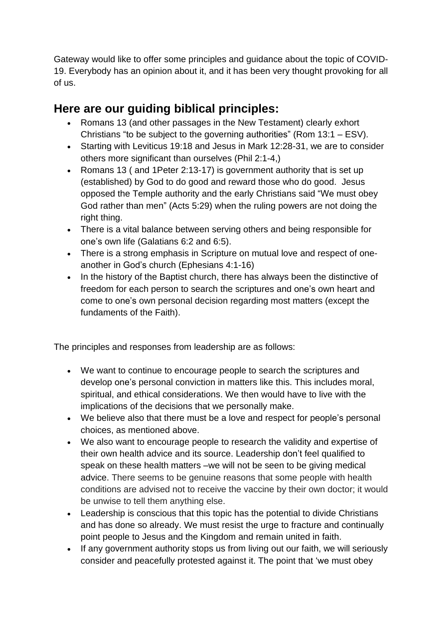Gateway would like to offer some principles and guidance about the topic of COVID-19. Everybody has an opinion about it, and it has been very thought provoking for all of us.

## **Here are our guiding biblical principles:**

- Romans 13 (and other passages in the New Testament) clearly exhort Christians "to be subject to the governing authorities" (Rom 13:1 – ESV).
- Starting with Leviticus 19:18 and Jesus in Mark 12:28-31, we are to consider others more significant than ourselves (Phil 2:1-4,)
- Romans 13 ( and 1Peter 2:13-17) is government authority that is set up (established) by God to do good and reward those who do good. Jesus opposed the Temple authority and the early Christians said "We must obey God rather than men" (Acts 5:29) when the ruling powers are not doing the right thing.
- There is a vital balance between serving others and being responsible for one's own life (Galatians 6:2 and 6:5).
- There is a strong emphasis in Scripture on mutual love and respect of oneanother in God's church (Ephesians 4:1-16)
- In the history of the Baptist church, there has always been the distinctive of freedom for each person to search the scriptures and one's own heart and come to one's own personal decision regarding most matters (except the fundaments of the Faith).

The principles and responses from leadership are as follows:

- We want to continue to encourage people to search the scriptures and develop one's personal conviction in matters like this. This includes moral, spiritual, and ethical considerations. We then would have to live with the implications of the decisions that we personally make.
- We believe also that there must be a love and respect for people's personal choices, as mentioned above.
- We also want to encourage people to research the validity and expertise of their own health advice and its source. Leadership don't feel qualified to speak on these health matters –we will not be seen to be giving medical advice. There seems to be genuine reasons that some people with health conditions are advised not to receive the vaccine by their own doctor; it would be unwise to tell them anything else.
- Leadership is conscious that this topic has the potential to divide Christians and has done so already. We must resist the urge to fracture and continually point people to Jesus and the Kingdom and remain united in faith.
- If any government authority stops us from living out our faith, we will seriously consider and peacefully protested against it. The point that 'we must obey